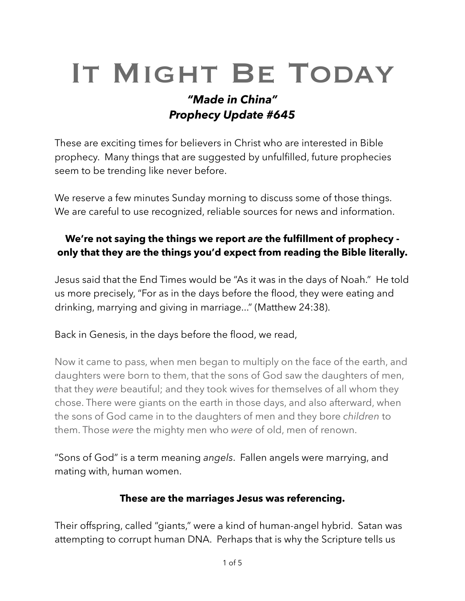# IT MIGHT BE TODAY

# *"Made in China" Prophecy Update #645*

These are exciting times for believers in Christ who are interested in Bible prophecy. Many things that are suggested by unfulfilled, future prophecies seem to be trending like never before.

We reserve a few minutes Sunday morning to discuss some of those things. We are careful to use recognized, reliable sources for news and information.

#### **We're not saying the things we report** *are* **the fulfillment of prophecy only that they are the things you'd expect from reading the Bible literally.**

Jesus said that the End Times would be "As it was in the days of Noah." He told us more precisely, "For as in the days before the flood, they were eating and drinking, marrying and giving in marriage..." (Matthew 24:38).

Back in Genesis, in the days before the flood, we read,

Now it came to pass, when men began to multiply on the face of the earth, and daughters were born to them, that the sons of God saw the daughters of men, that they *were* beautiful; and they took wives for themselves of all whom they chose. There were giants on the earth in those days, and also afterward, when the sons of God came in to the daughters of men and they bore *children* to them. Those *were* the mighty men who *were* of old, men of renown.

"Sons of God" is a term meaning *angels*. Fallen angels were marrying, and mating with, human women.

#### **These are the marriages Jesus was referencing.**

Their offspring, called "giants," were a kind of human-angel hybrid. Satan was attempting to corrupt human DNA. Perhaps that is why the Scripture tells us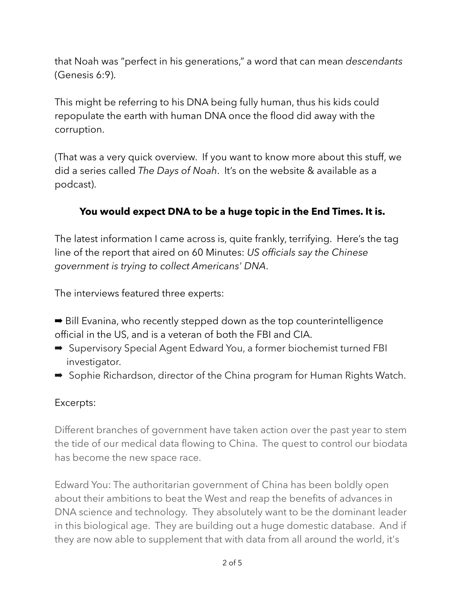that Noah was "perfect in his generations," a word that can mean *descendants* (Genesis 6:9).

This might be referring to his DNA being fully human, thus his kids could repopulate the earth with human DNA once the flood did away with the corruption.

(That was a very quick overview. If you want to know more about this stuff, we did a series called *The Days of Noah*. It's on the website & available as a podcast).

# **You would expect DNA to be a huge topic in the End Times. It is.**

The latest information I came across is, quite frankly, terrifying. Here's the tag line of the report that aired on 60 Minutes: *US officials say the Chinese government is trying to collect Americans' DNA*.

The interviews featured three experts:

- ➡ Bill Evanina, who recently stepped down as the top counterintelligence official in the US, and is a veteran of both the FBI and CIA.
- Supervisory Special Agent Edward You, a former biochemist turned FBI investigator.
- Sophie Richardson, director of the China program for Human Rights Watch.

#### Excerpts:

Different branches of government have taken action over the past year to stem the tide of our medical data flowing to China. The quest to control our biodata has become the new space race.

Edward You: The authoritarian government of China has been boldly open about their ambitions to beat the West and reap the benefits of advances in DNA science and technology. They absolutely want to be the dominant leader in this biological age. They are building out a huge domestic database. And if they are now able to supplement that with data from all around the world, it's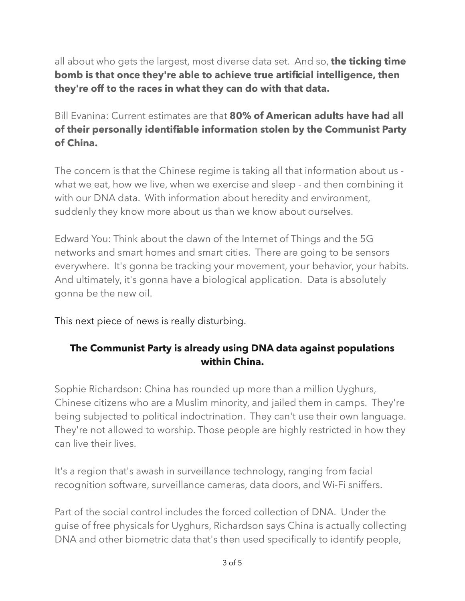all about who gets the largest, most diverse data set. And so, **the ticking time bomb is that once they're able to achieve true artificial intelligence, then they're off to the races in what they can do with that data.** 

Bill Evanina: Current estimates are that **80% of American adults have had all of their personally identifiable information stolen by the Communist Party of China.**

The concern is that the Chinese regime is taking all that information about us what we eat, how we live, when we exercise and sleep - and then combining it with our DNA data. With information about heredity and environment, suddenly they know more about us than we know about ourselves.

Edward You: Think about the dawn of the Internet of Things and the 5G networks and smart homes and smart cities. There are going to be sensors everywhere. It's gonna be tracking your movement, your behavior, your habits. And ultimately, it's gonna have a biological application. Data is absolutely gonna be the new oil.

This next piece of news is really disturbing.

## **The Communist Party is already using DNA data against populations within China.**

Sophie Richardson: China has rounded up more than a million Uyghurs, Chinese citizens who are a Muslim minority, and jailed them in camps. They're being subjected to political indoctrination. They can't use their own language. They're not allowed to worship. Those people are highly restricted in how they can live their lives.

It's a region that's awash in surveillance technology, ranging from facial recognition software, surveillance cameras, data doors, and Wi-Fi sniffers.

Part of the social control includes the forced collection of DNA. Under the guise of free physicals for Uyghurs, Richardson says China is actually collecting DNA and other biometric data that's then used specifically to identify people,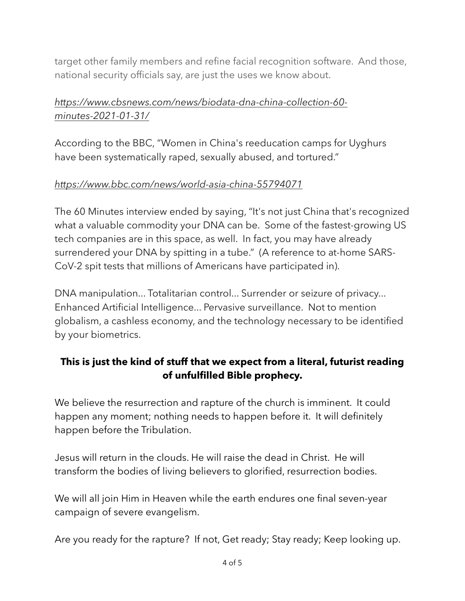target other family members and refine facial recognition software. And those, national security officials say, are just the uses we know about.

# *[https://www.cbsnews.com/news/biodata-dna-china-collection-60](https://www.cbsnews.com/news/biodata-dna-china-collection-60-minutes-2021-01-31/) [minutes-2021-01-31/](https://www.cbsnews.com/news/biodata-dna-china-collection-60-minutes-2021-01-31/)*

According to the BBC, "Women in China's reeducation camps for Uyghurs have been systematically raped, sexually abused, and tortured."

## *<https://www.bbc.com/news/world-asia-china-55794071>*

The 60 Minutes interview ended by saying, "It's not just China that's recognized what a valuable commodity your DNA can be. Some of the fastest-growing US tech companies are in this space, as well. In fact, you may have already surrendered your DNA by spitting in a tube." (A reference to at-home SARS-CoV-2 spit tests that millions of Americans have participated in).

DNA manipulation... Totalitarian control... Surrender or seizure of privacy... Enhanced Artificial Intelligence... Pervasive surveillance. Not to mention globalism, a cashless economy, and the technology necessary to be identified by your biometrics.

# **This is just the kind of stuff that we expect from a literal, futurist reading of unfulfilled Bible prophecy.**

We believe the resurrection and rapture of the church is imminent. It could happen any moment; nothing needs to happen before it. It will definitely happen before the Tribulation.

Jesus will return in the clouds. He will raise the dead in Christ. He will transform the bodies of living believers to glorified, resurrection bodies.

We will all join Him in Heaven while the earth endures one final seven-year campaign of severe evangelism.

Are you ready for the rapture? If not, Get ready; Stay ready; Keep looking up.